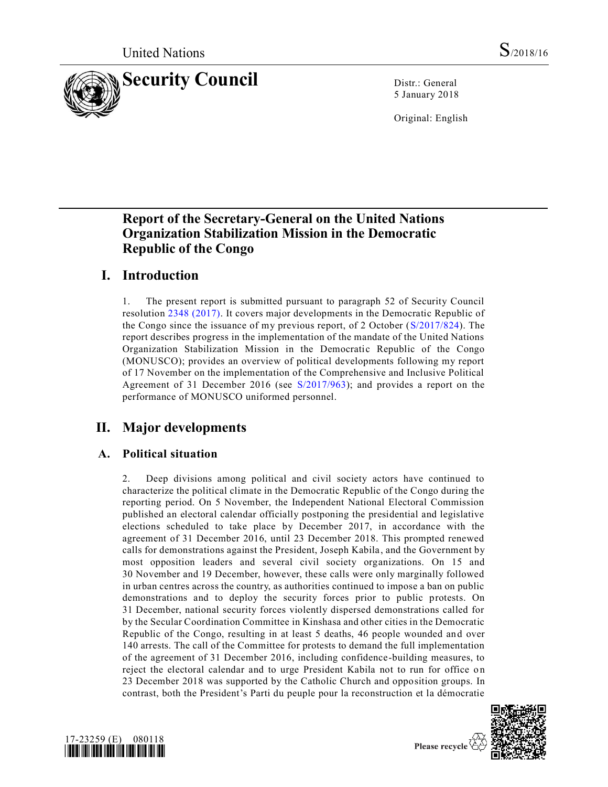

5 January 2018

Original: English

# **Report of the Secretary-General on the United Nations Organization Stabilization Mission in the Democratic Republic of the Congo**

# **I. Introduction**

1. The present report is submitted pursuant to paragraph 52 of Security Council resolution [2348 \(2017\).](https://undocs.org/S/RES/2348(2017)) It covers major developments in the Democratic Republic of the Congo since the issuance of my previous report, of 2 October [\(S/2017/824\)](https://undocs.org/S/2017/824). The report describes progress in the implementation of the mandate of the United Nations Organization Stabilization Mission in the Democratic Republic of the Congo (MONUSCO); provides an overview of political developments following my report of 17 November on the implementation of the Comprehensive and Inclusive Political Agreement of 31 December 2016 (see [S/2017/963\)](https://undocs.org/S/2017/963); and provides a report on the performance of MONUSCO uniformed personnel.

# **II. Major developments**

## **A. Political situation**

2. Deep divisions among political and civil society actors have continued to characterize the political climate in the Democratic Republic of the Congo during the reporting period. On 5 November, the Independent National Electoral Commission published an electoral calendar officially postponing the presidential and legislative elections scheduled to take place by December 2017, in accordance with the agreement of 31 December 2016, until 23 December 2018. This prompted renewed calls for demonstrations against the President, Joseph Kabila, and the Government by most opposition leaders and several civil society organizations. On 15 and 30 November and 19 December, however, these calls were only marginally followed in urban centres across the country, as authorities continued to impose a ban on public demonstrations and to deploy the security forces prior to public protests. On 31 December, national security forces violently dispersed demonstrations called for by the Secular Coordination Committee in Kinshasa and other cities in the Democratic Republic of the Congo, resulting in at least 5 deaths, 46 people wounded and over 140 arrests. The call of the Committee for protests to demand the full implementation of the agreement of 31 December 2016, including confidence-building measures, to reject the electoral calendar and to urge President Kabila not to run for office on 23 December 2018 was supported by the Catholic Church and opposition groups. In contrast, both the President's Parti du peuple pour la reconstruction et la démocratie



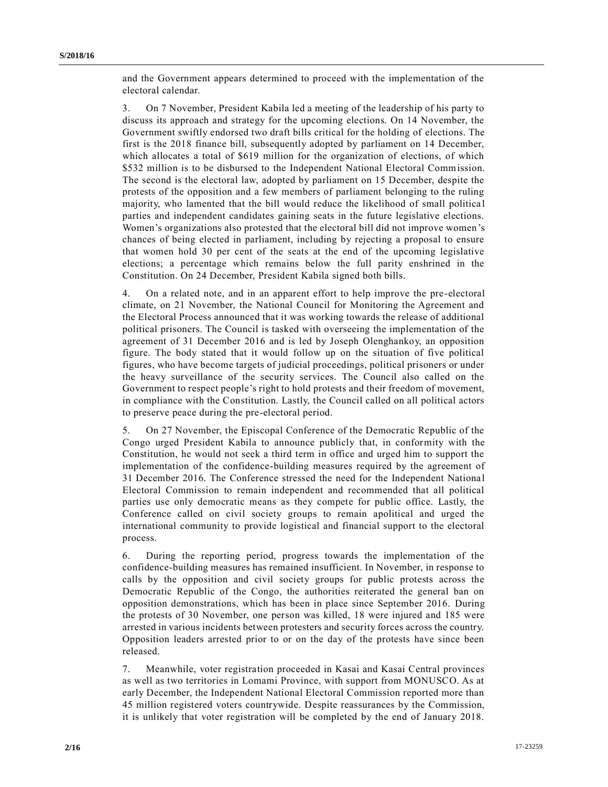and the Government appears determined to proceed with the implementation of the electoral calendar.

3. On 7 November, President Kabila led a meeting of the leadership of his party to discuss its approach and strategy for the upcoming elections. On 14 November, the Government swiftly endorsed two draft bills critical for the holding of elections. The first is the 2018 finance bill, subsequently adopted by parliament on 14 December, which allocates a total of \$619 million for the organization of elections, of which \$532 million is to be disbursed to the Independent National Electoral Commission. The second is the electoral law, adopted by parliament on 15 December, despite the protests of the opposition and a few members of parliament belonging to the ruling majority, who lamented that the bill would reduce the likelihood of small politica l parties and independent candidates gaining seats in the future legislative elections. Women's organizations also protested that the electoral bill did not improve women's chances of being elected in parliament, including by rejecting a proposal to ensure that women hold 30 per cent of the seats at the end of the upcoming legislative elections; a percentage which remains below the full parity enshrined in the Constitution. On 24 December, President Kabila signed both bills.

4. On a related note, and in an apparent effort to help improve the pre-electoral climate, on 21 November, the National Council for Monitoring the Agreement and the Electoral Process announced that it was working towards the release of additional political prisoners. The Council is tasked with overseeing the implementation of the agreement of 31 December 2016 and is led by Joseph Olenghankoy, an opposition figure. The body stated that it would follow up on the situation of five political figures, who have become targets of judicial proceedings, political prisoners or under the heavy surveillance of the security services. The Council also called on the Government to respect people's right to hold protests and their freedom of movement, in compliance with the Constitution. Lastly, the Council called on all political actors to preserve peace during the pre-electoral period.

5. On 27 November, the Episcopal Conference of the Democratic Republic of the Congo urged President Kabila to announce publicly that, in conformity with the Constitution, he would not seek a third term in office and urged him to support the implementation of the confidence-building measures required by the agreement of 31 December 2016. The Conference stressed the need for the Independent Nationa l Electoral Commission to remain independent and recommended that all political parties use only democratic means as they compete for public office. Lastly, the Conference called on civil society groups to remain apolitical and urged the international community to provide logistical and financial support to the electoral process.

6. During the reporting period, progress towards the implementation of the confidence-building measures has remained insufficient. In November, in response to calls by the opposition and civil society groups for public protests across the Democratic Republic of the Congo, the authorities reiterated the general ban on opposition demonstrations, which has been in place since September 2016. During the protests of 30 November, one person was killed, 18 were injured and 185 were arrested in various incidents between protesters and security forces across the country. Opposition leaders arrested prior to or on the day of the protests have since been released.

7. Meanwhile, voter registration proceeded in Kasai and Kasai Central provinces as well as two territories in Lomami Province, with support from MONUSCO. As at early December, the Independent National Electoral Commission reported more than 45 million registered voters countrywide. Despite reassurances by the Commission, it is unlikely that voter registration will be completed by the end of January 2018.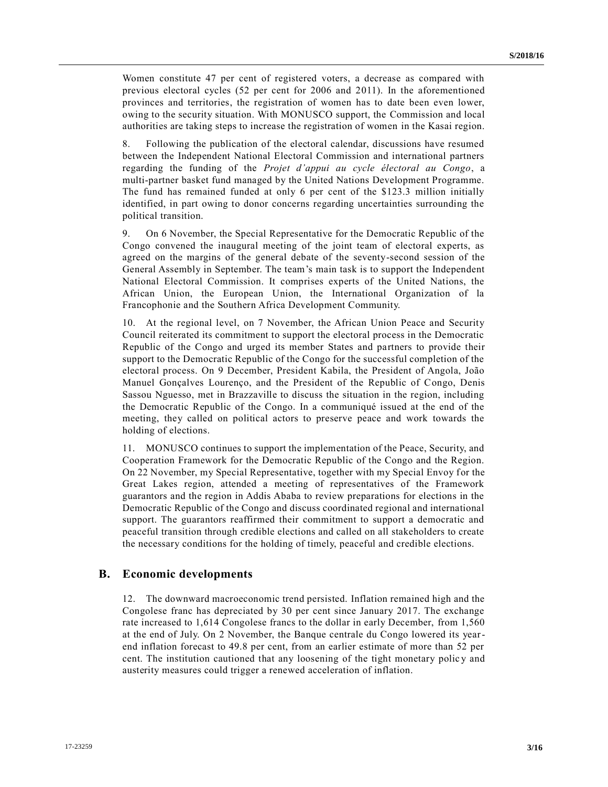Women constitute 47 per cent of registered voters, a decrease as compared with previous electoral cycles (52 per cent for 2006 and 2011). In the aforementioned provinces and territories, the registration of women has to date been even lower, owing to the security situation. With MONUSCO support, the Commission and local authorities are taking steps to increase the registration of women in the Kasai region.

8. Following the publication of the electoral calendar, discussions have resumed between the Independent National Electoral Commission and international partners regarding the funding of the *Projet d'appui au cycle électoral au Congo*, a multi-partner basket fund managed by the United Nations Development Programme. The fund has remained funded at only 6 per cent of the \$123.3 million initially identified, in part owing to donor concerns regarding uncertainties surrounding the political transition.

9. On 6 November, the Special Representative for the Democratic Republic of the Congo convened the inaugural meeting of the joint team of electoral experts, as agreed on the margins of the general debate of the seventy-second session of the General Assembly in September. The team's main task is to support the Independent National Electoral Commission. It comprises experts of the United Nations, the African Union, the European Union, the International Organization of la Francophonie and the Southern Africa Development Community.

10. At the regional level, on 7 November, the African Union Peace and Security Council reiterated its commitment to support the electoral process in the Democratic Republic of the Congo and urged its member States and partners to provide their support to the Democratic Republic of the Congo for the successful completion of the electoral process. On 9 December, President Kabila, the President of Angola, João Manuel Gonçalves Lourenço, and the President of the Republic of Congo, Denis Sassou Nguesso, met in Brazzaville to discuss the situation in the region, including the Democratic Republic of the Congo. In a communiqué issued at the end of the meeting, they called on political actors to preserve peace and work towards the holding of elections.

11. MONUSCO continues to support the implementation of the Peace, Security, and Cooperation Framework for the Democratic Republic of the Congo and the Region. On 22 November, my Special Representative, together with my Special Envoy for the Great Lakes region, attended a meeting of representatives of the Framework guarantors and the region in Addis Ababa to review preparations for elections in the Democratic Republic of the Congo and discuss coordinated regional and international support. The guarantors reaffirmed their commitment to support a democratic and peaceful transition through credible elections and called on all stakeholders to create the necessary conditions for the holding of timely, peaceful and credible elections.

### **B. Economic developments**

12. The downward macroeconomic trend persisted. Inflation remained high and the Congolese franc has depreciated by 30 per cent since January 2017. The exchange rate increased to 1,614 Congolese francs to the dollar in early December, from 1,560 at the end of July. On 2 November, the Banque centrale du Congo lowered its yearend inflation forecast to 49.8 per cent, from an earlier estimate of more than 52 per cent. The institution cautioned that any loosening of the tight monetary polic y and austerity measures could trigger a renewed acceleration of inflation.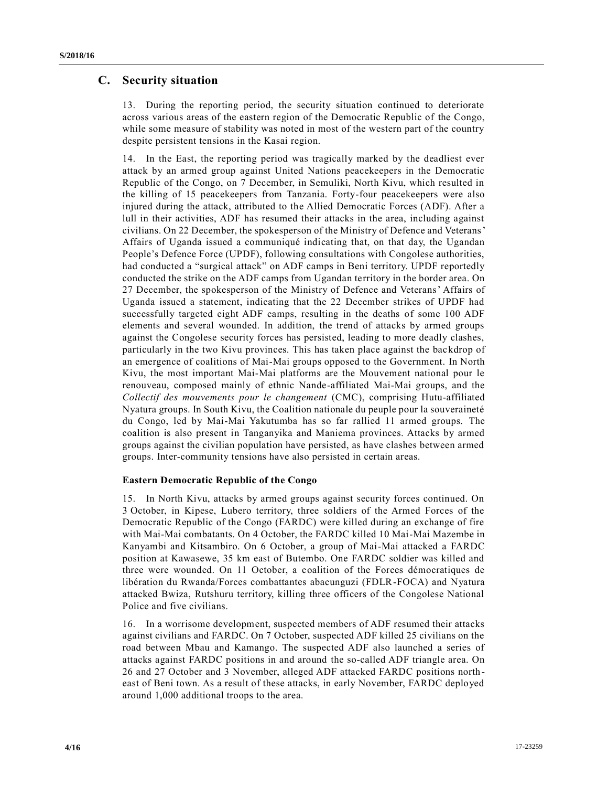## **C. Security situation**

13. During the reporting period, the security situation continued to deteriorate across various areas of the eastern region of the Democratic Republic of the Congo, while some measure of stability was noted in most of the western part of the country despite persistent tensions in the Kasai region.

14. In the East, the reporting period was tragically marked by the deadliest ever attack by an armed group against United Nations peacekeepers in the Democratic Republic of the Congo, on 7 December, in Semuliki, North Kivu, which resulted in the killing of 15 peacekeepers from Tanzania. Forty-four peacekeepers were also injured during the attack, attributed to the Allied Democratic Forces (ADF). After a lull in their activities, ADF has resumed their attacks in the area, including against civilians. On 22 December, the spokesperson of the Ministry of Defence and Veterans' Affairs of Uganda issued a communiqué indicating that, on that day, the Ugandan People's Defence Force (UPDF), following consultations with Congolese authorities, had conducted a "surgical attack" on ADF camps in Beni territory. UPDF reportedly conducted the strike on the ADF camps from Ugandan territory in the border area. On 27 December, the spokesperson of the Ministry of Defence and Veterans' Affairs of Uganda issued a statement, indicating that the 22 December strikes of UPDF had successfully targeted eight ADF camps, resulting in the deaths of some 100 ADF elements and several wounded. In addition, the trend of attacks by armed groups against the Congolese security forces has persisted, leading to more deadly clashes, particularly in the two Kivu provinces. This has taken place against the backdrop of an emergence of coalitions of Mai-Mai groups opposed to the Government. In North Kivu, the most important Mai-Mai platforms are the Mouvement national pour le renouveau, composed mainly of ethnic Nande-affiliated Mai-Mai groups, and the *Collectif des mouvements pour le changement* (CMC), comprising Hutu-affiliated Nyatura groups. In South Kivu, the Coalition nationale du peuple pour la souveraineté du Congo, led by Mai-Mai Yakutumba has so far rallied 11 armed groups. The coalition is also present in Tanganyika and Maniema provinces. Attacks by armed groups against the civilian population have persisted, as have clashes between armed groups. Inter-community tensions have also persisted in certain areas.

### **Eastern Democratic Republic of the Congo**

15. In North Kivu, attacks by armed groups against security forces continued. On 3 October, in Kipese, Lubero territory, three soldiers of the Armed Forces of the Democratic Republic of the Congo (FARDC) were killed during an exchange of fire with Mai-Mai combatants. On 4 October, the FARDC killed 10 Mai-Mai Mazembe in Kanyambi and Kitsambiro. On 6 October, a group of Mai-Mai attacked a FARDC position at Kawasewe, 35 km east of Butembo. One FARDC soldier was killed and three were wounded. On 11 October, a coalition of the Forces démocratiques de libération du Rwanda/Forces combattantes abacunguzi (FDLR-FOCA) and Nyatura attacked Bwiza, Rutshuru territory, killing three officers of the Congolese National Police and five civilians.

16. In a worrisome development, suspected members of ADF resumed their attacks against civilians and FARDC. On 7 October, suspected ADF killed 25 civilians on the road between Mbau and Kamango. The suspected ADF also launched a series of attacks against FARDC positions in and around the so-called ADF triangle area. On 26 and 27 October and 3 November, alleged ADF attacked FARDC positions north east of Beni town. As a result of these attacks, in early November, FARDC deployed around 1,000 additional troops to the area.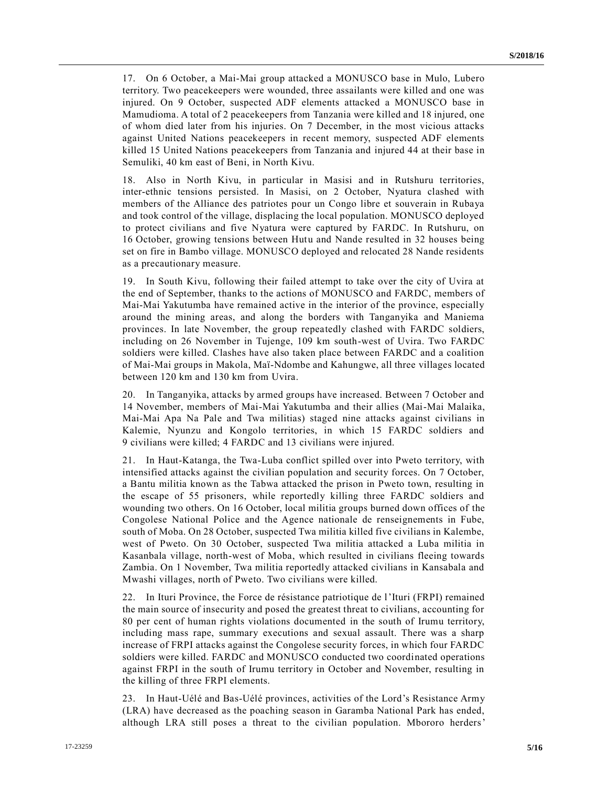17. On 6 October, a Mai-Mai group attacked a MONUSCO base in Mulo, Lubero territory. Two peacekeepers were wounded, three assailants were killed and one was injured. On 9 October, suspected ADF elements attacked a MONUSCO base in Mamudioma. A total of 2 peacekeepers from Tanzania were killed and 18 injured, one of whom died later from his injuries. On 7 December, in the most vicious attacks against United Nations peacekeepers in recent memory, suspected ADF elements killed 15 United Nations peacekeepers from Tanzania and injured 44 at their base in Semuliki, 40 km east of Beni, in North Kivu.

18. Also in North Kivu, in particular in Masisi and in Rutshuru territories, inter-ethnic tensions persisted. In Masisi, on 2 October, Nyatura clashed with members of the Alliance des patriotes pour un Congo libre et souverain in Rubaya and took control of the village, displacing the local population. MONUSCO deployed to protect civilians and five Nyatura were captured by FARDC. In Rutshuru, on 16 October, growing tensions between Hutu and Nande resulted in 32 houses being set on fire in Bambo village. MONUSCO deployed and relocated 28 Nande residents as a precautionary measure.

19. In South Kivu, following their failed attempt to take over the city of Uvira at the end of September, thanks to the actions of MONUSCO and FARDC, members of Mai-Mai Yakutumba have remained active in the interior of the province, especially around the mining areas, and along the borders with Tanganyika and Maniema provinces. In late November, the group repeatedly clashed with FARDC soldiers, including on 26 November in Tujenge, 109 km south-west of Uvira. Two FARDC soldiers were killed. Clashes have also taken place between FARDC and a coalition of Mai-Mai groups in Makola, Maï-Ndombe and Kahungwe, all three villages located between 120 km and 130 km from Uvira.

20. In Tanganyika, attacks by armed groups have increased. Between 7 October and 14 November, members of Mai-Mai Yakutumba and their allies (Mai-Mai Malaika, Mai-Mai Apa Na Pale and Twa militias) staged nine attacks against civilians in Kalemie, Nyunzu and Kongolo territories, in which 15 FARDC soldiers and 9 civilians were killed; 4 FARDC and 13 civilians were injured.

21. In Haut-Katanga, the Twa-Luba conflict spilled over into Pweto territory, with intensified attacks against the civilian population and security forces. On 7 October, a Bantu militia known as the Tabwa attacked the prison in Pweto town, resulting in the escape of 55 prisoners, while reportedly killing three FARDC soldiers and wounding two others. On 16 October, local militia groups burned down offices of the Congolese National Police and the Agence nationale de renseignements in Fube, south of Moba. On 28 October, suspected Twa militia killed five civilians in Kalembe, west of Pweto. On 30 October, suspected Twa militia attacked a Luba militia in Kasanbala village, north-west of Moba, which resulted in civilians fleeing towards Zambia. On 1 November, Twa militia reportedly attacked civilians in Kansabala and Mwashi villages, north of Pweto. Two civilians were killed.

22. In Ituri Province, the Force de résistance patriotique de l'Ituri (FRPI) remained the main source of insecurity and posed the greatest threat to civilians, accounting for 80 per cent of human rights violations documented in the south of Irumu territory, including mass rape, summary executions and sexual assault. There was a sharp increase of FRPI attacks against the Congolese security forces, in which four FARDC soldiers were killed. FARDC and MONUSCO conducted two coordinated operations against FRPI in the south of Irumu territory in October and November, resulting in the killing of three FRPI elements.

23. In Haut-Uélé and Bas-Uélé provinces, activities of the Lord's Resistance Army (LRA) have decreased as the poaching season in Garamba National Park has ended, although LRA still poses a threat to the civilian population. Mbororo herders'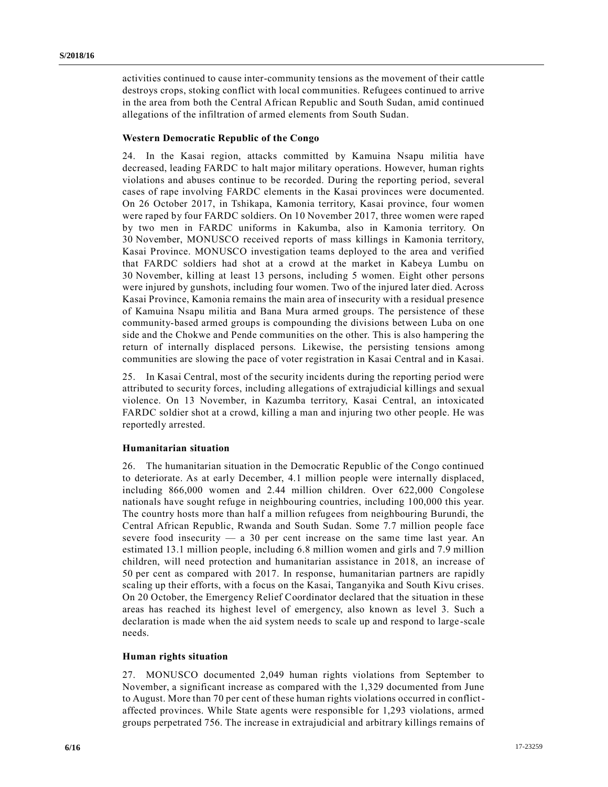activities continued to cause inter-community tensions as the movement of their cattle destroys crops, stoking conflict with local communities. Refugees continued to arrive in the area from both the Central African Republic and South Sudan, amid continued allegations of the infiltration of armed elements from South Sudan.

#### **Western Democratic Republic of the Congo**

24. In the Kasai region, attacks committed by Kamuina Nsapu militia have decreased, leading FARDC to halt major military operations. However, human rights violations and abuses continue to be recorded. During the reporting period, several cases of rape involving FARDC elements in the Kasai provinces were documented. On 26 October 2017, in Tshikapa, Kamonia territory, Kasai province, four women were raped by four FARDC soldiers. On 10 November 2017, three women were raped by two men in FARDC uniforms in Kakumba, also in Kamonia territory. On 30 November, MONUSCO received reports of mass killings in Kamonia territory, Kasai Province. MONUSCO investigation teams deployed to the area and verified that FARDC soldiers had shot at a crowd at the market in Kabeya Lumbu on 30 November, killing at least 13 persons, including 5 women. Eight other persons were injured by gunshots, including four women. Two of the injured later died. Across Kasai Province, Kamonia remains the main area of insecurity with a residual presence of Kamuina Nsapu militia and Bana Mura armed groups. The persistence of these community-based armed groups is compounding the divisions between Luba on one side and the Chokwe and Pende communities on the other. This is also hampering the return of internally displaced persons. Likewise, the persisting tensions among communities are slowing the pace of voter registration in Kasai Central and in Kasai.

25. In Kasai Central, most of the security incidents during the reporting period were attributed to security forces, including allegations of extrajudicial killings and sexual violence. On 13 November, in Kazumba territory, Kasai Central, an intoxicated FARDC soldier shot at a crowd, killing a man and injuring two other people. He was reportedly arrested.

#### **Humanitarian situation**

26. The humanitarian situation in the Democratic Republic of the Congo continued to deteriorate. As at early December, 4.1 million people were internally displaced, including 866,000 women and 2.44 million children. Over 622,000 Congolese nationals have sought refuge in neighbouring countries, including 100,000 this year. The country hosts more than half a million refugees from neighbouring Burundi, the Central African Republic, Rwanda and South Sudan. Some 7.7 million people face severe food insecurity  $-$  a 30 per cent increase on the same time last year. An estimated 13.1 million people, including 6.8 million women and girls and 7.9 million children, will need protection and humanitarian assistance in 2018, an increase of 50 per cent as compared with 2017. In response, humanitarian partners are rapidly scaling up their efforts, with a focus on the Kasai, Tanganyika and South Kivu crises. On 20 October, the Emergency Relief Coordinator declared that the situation in these areas has reached its highest level of emergency, also known as level 3. Such a declaration is made when the aid system needs to scale up and respond to large -scale needs.

#### **Human rights situation**

27. MONUSCO documented 2,049 human rights violations from September to November, a significant increase as compared with the 1,329 documented from June to August. More than 70 per cent of these human rights violations occurred in conflictaffected provinces. While State agents were responsible for 1,293 violations, armed groups perpetrated 756. The increase in extrajudicial and arbitrary killings remains of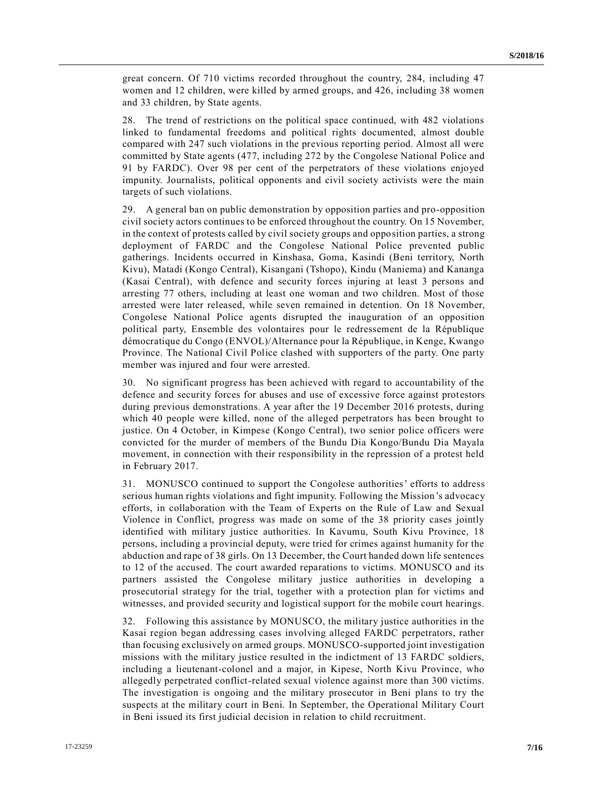great concern. Of 710 victims recorded throughout the country, 284, including 47 women and 12 children, were killed by armed groups, and 426, including 38 women and 33 children, by State agents.

28. The trend of restrictions on the political space continued, with 482 violations linked to fundamental freedoms and political rights documented, almost double compared with 247 such violations in the previous reporting period. Almost all were committed by State agents (477, including 272 by the Congolese National Police and 91 by FARDC). Over 98 per cent of the perpetrators of these violations enjoyed impunity. Journalists, political opponents and civil society activists were the main targets of such violations.

29. A general ban on public demonstration by opposition parties and pro-opposition civil society actors continues to be enforced throughout the country. On 15 November, in the context of protests called by civil society groups and opposition parties, a strong deployment of FARDC and the Congolese National Police prevented public gatherings. Incidents occurred in Kinshasa, Goma, Kasindi (Beni territory, North Kivu), Matadi (Kongo Central), Kisangani (Tshopo), Kindu (Maniema) and Kananga (Kasai Central), with defence and security forces injuring at least 3 persons and arresting 77 others, including at least one woman and two children. Most of those arrested were later released, while seven remained in detention. On 18 November, Congolese National Police agents disrupted the inauguration of an opposition political party, Ensemble des volontaires pour le redressement de la République démocratique du Congo (ENVOL)/Alternance pour la République, in Kenge, Kwango Province. The National Civil Police clashed with supporters of the party. One party member was injured and four were arrested.

30. No significant progress has been achieved with regard to accountability of the defence and security forces for abuses and use of excessive force against protestors during previous demonstrations. A year after the 19 December 2016 protests, during which 40 people were killed, none of the alleged perpetrators has been brought to justice. On 4 October, in Kimpese (Kongo Central), two senior police officers were convicted for the murder of members of the Bundu Dia Kongo/Bundu Dia Mayala movement, in connection with their responsibility in the repression of a protest held in February 2017.

31. MONUSCO continued to support the Congolese authorities' efforts to address serious human rights violations and fight impunity. Following the Mission's advocacy efforts, in collaboration with the Team of Experts on the Rule of Law and Sexual Violence in Conflict, progress was made on some of the 38 priority cases jointly identified with military justice authorities. In Kavumu, South Kivu Province, 18 persons, including a provincial deputy, were tried for crimes against humanity for the abduction and rape of 38 girls. On 13 December, the Court handed down life sentences to 12 of the accused. The court awarded reparations to victims. MONUSCO and its partners assisted the Congolese military justice authorities in developing a prosecutorial strategy for the trial, together with a protection plan for victims and witnesses, and provided security and logistical support for the mobile court hearings.

32. Following this assistance by MONUSCO, the military justice authorities in the Kasai region began addressing cases involving alleged FARDC perpetrators, rather than focusing exclusively on armed groups. MONUSCO-supported joint investigation missions with the military justice resulted in the indictment of 13 FARDC soldiers, including a lieutenant-colonel and a major, in Kipese, North Kivu Province, who allegedly perpetrated conflict-related sexual violence against more than 300 victims. The investigation is ongoing and the military prosecutor in Beni plans to try the suspects at the military court in Beni. In September, the Operational Military Court in Beni issued its first judicial decision in relation to child recruitment.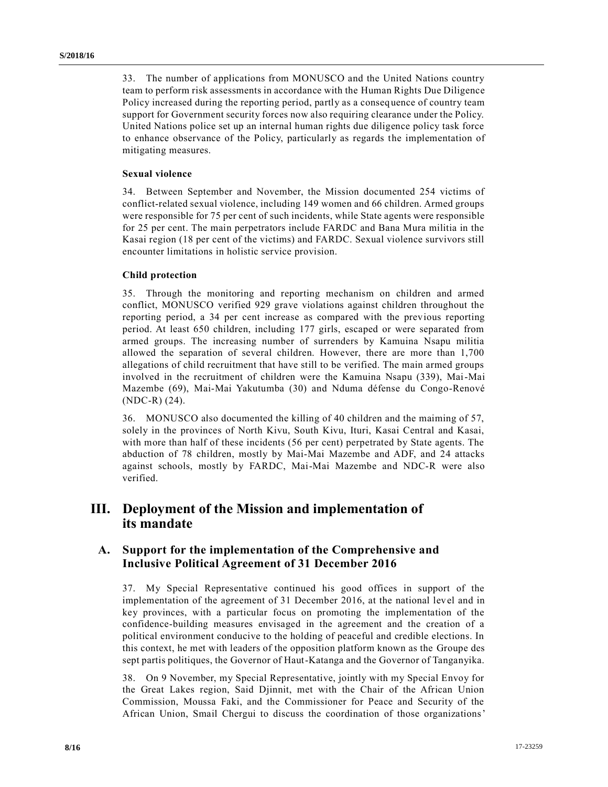33. The number of applications from MONUSCO and the United Nations country team to perform risk assessments in accordance with the Human Rights Due Diligence Policy increased during the reporting period, partly as a conseq uence of country team support for Government security forces now also requiring clearance under the Policy. United Nations police set up an internal human rights due diligence policy task force to enhance observance of the Policy, particularly as regards the implementation of mitigating measures.

#### **Sexual violence**

34. Between September and November, the Mission documented 254 victims of conflict-related sexual violence, including 149 women and 66 children. Armed groups were responsible for 75 per cent of such incidents, while State agents were responsible for 25 per cent. The main perpetrators include FARDC and Bana Mura militia in the Kasai region (18 per cent of the victims) and FARDC. Sexual violence survivors still encounter limitations in holistic service provision.

#### **Child protection**

35. Through the monitoring and reporting mechanism on children and armed conflict, MONUSCO verified 929 grave violations against children throughout the reporting period, a 34 per cent increase as compared with the previous reporting period. At least 650 children, including 177 girls, escaped or were separated from armed groups. The increasing number of surrenders by Kamuina Nsapu militia allowed the separation of several children. However, there are more than 1,700 allegations of child recruitment that have still to be verified. The main armed groups involved in the recruitment of children were the Kamuina Nsapu (339), Mai-Mai Mazembe (69), Mai-Mai Yakutumba (30) and Nduma défense du Congo-Renové (NDC-R) (24).

36. MONUSCO also documented the killing of 40 children and the maiming of 57, solely in the provinces of North Kivu, South Kivu, Ituri, Kasai Central and Kasai, with more than half of these incidents (56 per cent) perpetrated by State agents. The abduction of 78 children, mostly by Mai-Mai Mazembe and ADF, and 24 attacks against schools, mostly by FARDC, Mai-Mai Mazembe and NDC-R were also verified.

## **III. Deployment of the Mission and implementation of its mandate**

### **A. Support for the implementation of the Comprehensive and Inclusive Political Agreement of 31 December 2016**

37. My Special Representative continued his good offices in support of the implementation of the agreement of 31 December 2016, at the national level and in key provinces, with a particular focus on promoting the implementation of the confidence-building measures envisaged in the agreement and the creation of a political environment conducive to the holding of peaceful and credible elections. In this context, he met with leaders of the opposition platform known as the Groupe des sept partis politiques, the Governor of Haut-Katanga and the Governor of Tanganyika.

38. On 9 November, my Special Representative, jointly with my Special Envoy for the Great Lakes region, Said Djinnit, met with the Chair of the African Union Commission, Moussa Faki, and the Commissioner for Peace and Security of the African Union, Smail Chergui to discuss the coordination of those organizations'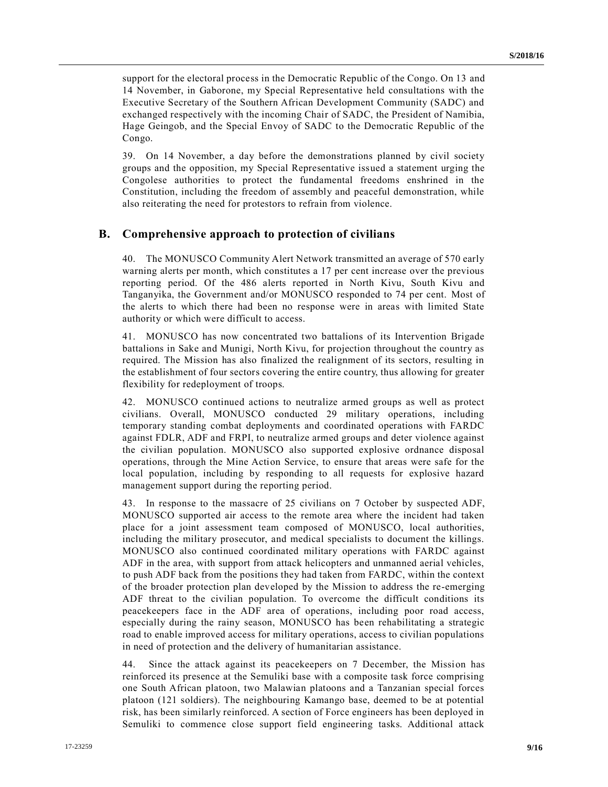support for the electoral process in the Democratic Republic of the Congo. On 13 and 14 November, in Gaborone, my Special Representative held consultations with the Executive Secretary of the Southern African Development Community (SADC) and exchanged respectively with the incoming Chair of SADC, the President of Namibia, Hage Geingob, and the Special Envoy of SADC to the Democratic Republic of the Congo.

39. On 14 November, a day before the demonstrations planned by civil society groups and the opposition, my Special Representative issued a statement urging the Congolese authorities to protect the fundamental freedoms enshrined in the Constitution, including the freedom of assembly and peaceful demonstration, while also reiterating the need for protestors to refrain from violence.

### **B. Comprehensive approach to protection of civilians**

40. The MONUSCO Community Alert Network transmitted an average of 570 early warning alerts per month, which constitutes a 17 per cent increase over the previous reporting period. Of the 486 alerts reported in North Kivu, South Kivu and Tanganyika, the Government and/or MONUSCO responded to 74 per cent. Most of the alerts to which there had been no response were in areas with limited State authority or which were difficult to access.

41. MONUSCO has now concentrated two battalions of its Intervention Brigade battalions in Sake and Munigi, North Kivu, for projection throughout the country as required. The Mission has also finalized the realignment of its sectors, resulting in the establishment of four sectors covering the entire country, thus allowing for greater flexibility for redeployment of troops.

42. MONUSCO continued actions to neutralize armed groups as well as protect civilians. Overall, MONUSCO conducted 29 military operations, including temporary standing combat deployments and coordinated operations with FARDC against FDLR, ADF and FRPI, to neutralize armed groups and deter violence against the civilian population. MONUSCO also supported explosive ordnance disposal operations, through the Mine Action Service, to ensure that areas were safe for the local population, including by responding to all requests for explosive hazard management support during the reporting period.

43. In response to the massacre of 25 civilians on 7 October by suspected ADF, MONUSCO supported air access to the remote area where the incident had taken place for a joint assessment team composed of MONUSCO, local authorities, including the military prosecutor, and medical specialists to document the killings. MONUSCO also continued coordinated military operations with FARDC against ADF in the area, with support from attack helicopters and unmanned aerial vehicles, to push ADF back from the positions they had taken from FARDC, within the context of the broader protection plan developed by the Mission to address the re-emerging ADF threat to the civilian population. To overcome the difficult conditions its peacekeepers face in the ADF area of operations, including poor road access, especially during the rainy season, MONUSCO has been rehabilitating a strategic road to enable improved access for military operations, access to civilian populations in need of protection and the delivery of humanitarian assistance.

44. Since the attack against its peacekeepers on 7 December, the Mission has reinforced its presence at the Semuliki base with a composite task force comprising one South African platoon, two Malawian platoons and a Tanzanian special forces platoon (121 soldiers). The neighbouring Kamango base, deemed to be at potential risk, has been similarly reinforced. A section of Force engineers has been deployed in Semuliki to commence close support field engineering tasks. Additional attack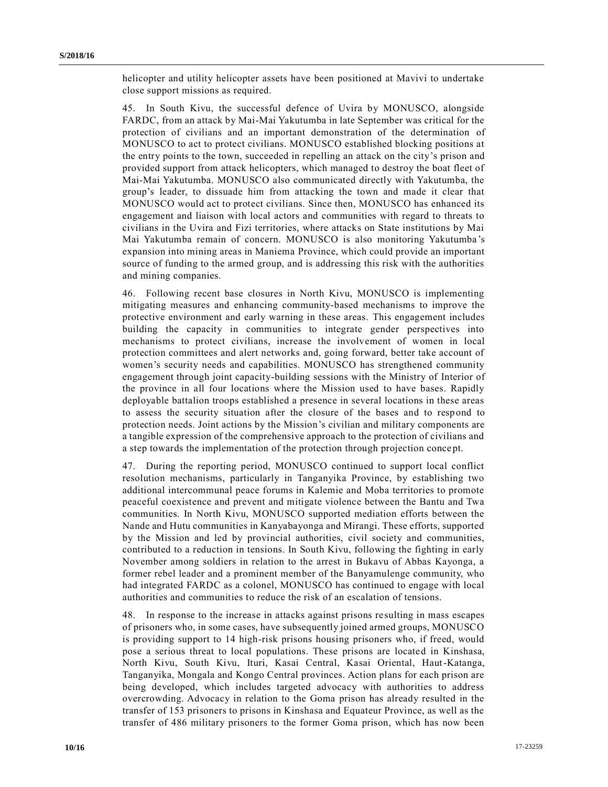helicopter and utility helicopter assets have been positioned at Mavivi to undertake close support missions as required.

45. In South Kivu, the successful defence of Uvira by MONUSCO, alongside FARDC, from an attack by Mai-Mai Yakutumba in late September was critical for the protection of civilians and an important demonstration of the determination of MONUSCO to act to protect civilians. MONUSCO established blocking positions at the entry points to the town, succeeded in repelling an attack on the city's prison and provided support from attack helicopters, which managed to destroy the boat fleet of Mai-Mai Yakutumba. MONUSCO also communicated directly with Yakutumba, the group's leader, to dissuade him from attacking the town and made it clear that MONUSCO would act to protect civilians. Since then, MONUSCO has enhanced its engagement and liaison with local actors and communities with regard to threats to civilians in the Uvira and Fizi territories, where attacks on State institutions by Mai Mai Yakutumba remain of concern. MONUSCO is also monitoring Yakutumba 's expansion into mining areas in Maniema Province, which could provide an important source of funding to the armed group, and is addressing this risk with the authorities and mining companies.

46. Following recent base closures in North Kivu, MONUSCO is implementing mitigating measures and enhancing community-based mechanisms to improve the protective environment and early warning in these areas. This engagement includes building the capacity in communities to integrate gender perspectives into mechanisms to protect civilians, increase the involvement of women in local protection committees and alert networks and, going forward, better take account of women's security needs and capabilities. MONUSCO has strengthened community engagement through joint capacity-building sessions with the Ministry of Interior of the province in all four locations where the Mission used to have bases. Rapidly deployable battalion troops established a presence in several locations in these areas to assess the security situation after the closure of the bases and to respond to protection needs. Joint actions by the Mission's civilian and military components are a tangible expression of the comprehensive approach to the protection of civilians and a step towards the implementation of the protection through projection concept.

47. During the reporting period, MONUSCO continued to support local conflict resolution mechanisms, particularly in Tanganyika Province, by establishing two additional intercommunal peace forums in Kalemie and Moba territories to promote peaceful coexistence and prevent and mitigate violence between the Bantu and Twa communities. In North Kivu, MONUSCO supported mediation efforts between the Nande and Hutu communities in Kanyabayonga and Mirangi. These efforts, supported by the Mission and led by provincial authorities, civil society and communities, contributed to a reduction in tensions. In South Kivu, following the fighting in early November among soldiers in relation to the arrest in Bukavu of Abbas Kayonga, a former rebel leader and a prominent member of the Banyamulenge community, who had integrated FARDC as a colonel, MONUSCO has continued to engage with local authorities and communities to reduce the risk of an escalation of tensions.

48. In response to the increase in attacks against prisons resulting in mass escapes of prisoners who, in some cases, have subsequently joined armed groups, MONUSCO is providing support to 14 high-risk prisons housing prisoners who, if freed, would pose a serious threat to local populations. These prisons are located in Kinshasa, North Kivu, South Kivu, Ituri, Kasai Central, Kasai Oriental, Haut-Katanga, Tanganyika, Mongala and Kongo Central provinces. Action plans for each prison are being developed, which includes targeted advocacy with authorities to address overcrowding. Advocacy in relation to the Goma prison has already resulted in the transfer of 153 prisoners to prisons in Kinshasa and Equateur Province, as well as the transfer of 486 military prisoners to the former Goma prison, which has now been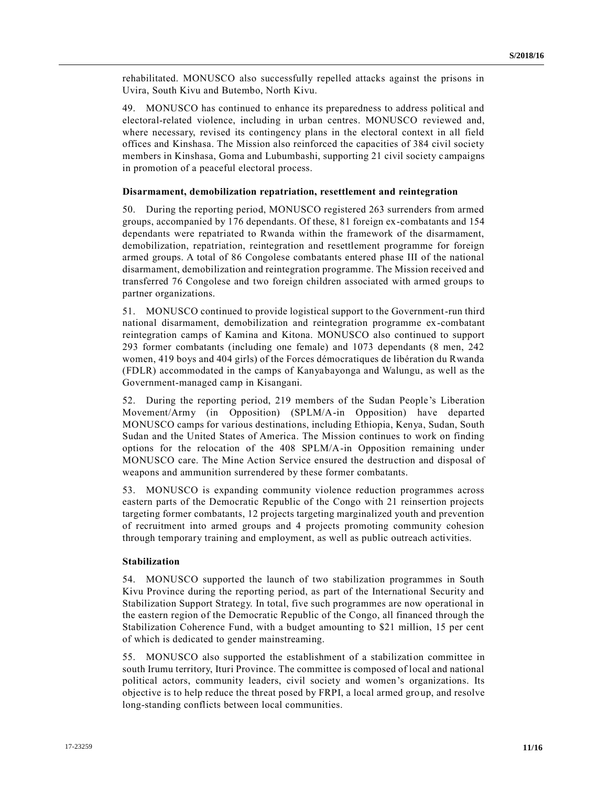rehabilitated. MONUSCO also successfully repelled attacks against the prisons in Uvira, South Kivu and Butembo, North Kivu.

49. MONUSCO has continued to enhance its preparedness to address political and electoral-related violence, including in urban centres. MONUSCO reviewed and, where necessary, revised its contingency plans in the electoral context in all field offices and Kinshasa. The Mission also reinforced the capacities of 384 civil society members in Kinshasa, Goma and Lubumbashi, supporting 21 civil society c ampaigns in promotion of a peaceful electoral process.

#### **Disarmament, demobilization repatriation, resettlement and reintegration**

50. During the reporting period, MONUSCO registered 263 surrenders from armed groups, accompanied by 176 dependants. Of these, 81 foreign ex-combatants and 154 dependants were repatriated to Rwanda within the framework of the disarmament, demobilization, repatriation, reintegration and resettlement programme for foreign armed groups. A total of 86 Congolese combatants entered phase III of the national disarmament, demobilization and reintegration programme. The Mission received and transferred 76 Congolese and two foreign children associated with armed groups to partner organizations.

51. MONUSCO continued to provide logistical support to the Government-run third national disarmament, demobilization and reintegration programme ex-combatant reintegration camps of Kamina and Kitona. MONUSCO also continued to support 293 former combatants (including one female) and 1073 dependants (8 men, 242 women, 419 boys and 404 girls) of the Forces démocratiques de libération du Rwanda (FDLR) accommodated in the camps of Kanyabayonga and Walungu, as well as the Government-managed camp in Kisangani.

52. During the reporting period, 219 members of the Sudan People's Liberation Movement/Army (in Opposition) (SPLM/A-in Opposition) have departed MONUSCO camps for various destinations, including Ethiopia, Kenya, Sudan, South Sudan and the United States of America. The Mission continues to work on finding options for the relocation of the 408 SPLM/A-in Opposition remaining under MONUSCO care. The Mine Action Service ensured the destruction and disposal of weapons and ammunition surrendered by these former combatants.

53. MONUSCO is expanding community violence reduction programmes across eastern parts of the Democratic Republic of the Congo with 21 reinsertion projects targeting former combatants, 12 projects targeting marginalized youth and prevention of recruitment into armed groups and 4 projects promoting community cohesion through temporary training and employment, as well as public outreach activities.

#### **Stabilization**

54. MONUSCO supported the launch of two stabilization programmes in South Kivu Province during the reporting period, as part of the International Security and Stabilization Support Strategy. In total, five such programmes are now operational in the eastern region of the Democratic Republic of the Congo, all financed through the Stabilization Coherence Fund, with a budget amounting to \$21 million, 15 per cent of which is dedicated to gender mainstreaming.

55. MONUSCO also supported the establishment of a stabilization committee in south Irumu territory, Ituri Province. The committee is composed of local and national political actors, community leaders, civil society and women's organizations. Its objective is to help reduce the threat posed by FRPI, a local armed group, and resolve long-standing conflicts between local communities.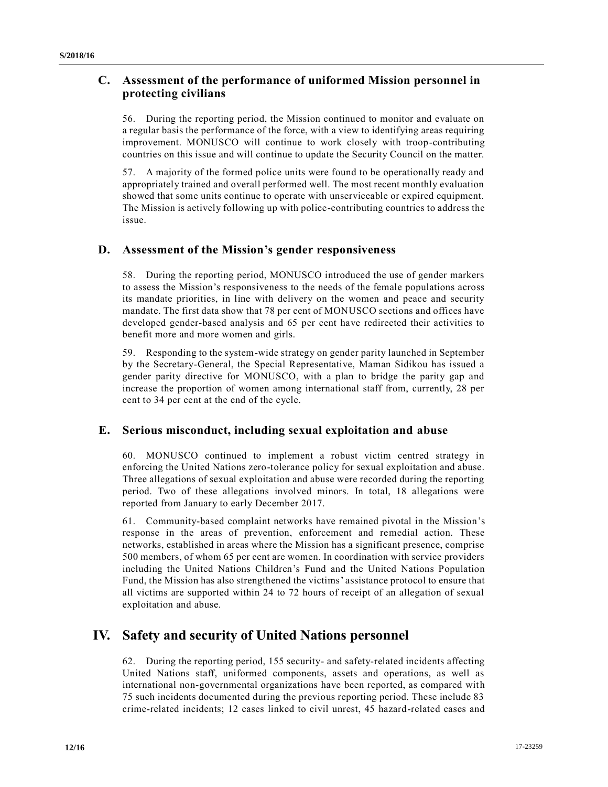## **C. Assessment of the performance of uniformed Mission personnel in protecting civilians**

56. During the reporting period, the Mission continued to monitor and evaluate on a regular basis the performance of the force, with a view to identifying areas requiring improvement. MONUSCO will continue to work closely with troop-contributing countries on this issue and will continue to update the Security Council on the matter.

57. A majority of the formed police units were found to be operationally ready and appropriately trained and overall performed well. The most recent monthly evaluation showed that some units continue to operate with unserviceable or expired equipment. The Mission is actively following up with police-contributing countries to address the issue.

## **D. Assessment of the Mission's gender responsiveness**

58. During the reporting period, MONUSCO introduced the use of gender markers to assess the Mission's responsiveness to the needs of the female populations across its mandate priorities, in line with delivery on the women and peace and security mandate. The first data show that 78 per cent of MONUSCO sections and offices have developed gender-based analysis and 65 per cent have redirected their activities to benefit more and more women and girls.

59. Responding to the system-wide strategy on gender parity launched in September by the Secretary-General, the Special Representative, Maman Sidikou has issued a gender parity directive for MONUSCO, with a plan to bridge the parity gap and increase the proportion of women among international staff from, currently, 28 per cent to 34 per cent at the end of the cycle.

## **E. Serious misconduct, including sexual exploitation and abuse**

60. MONUSCO continued to implement a robust victim centred strategy in enforcing the United Nations zero-tolerance policy for sexual exploitation and abuse. Three allegations of sexual exploitation and abuse were recorded during the reporting period. Two of these allegations involved minors. In total, 18 allegations were reported from January to early December 2017.

61. Community-based complaint networks have remained pivotal in the Mission's response in the areas of prevention, enforcement and remedial action. These networks, established in areas where the Mission has a significant presence, comprise 500 members, of whom 65 per cent are women. In coordination with service providers including the United Nations Children's Fund and the United Nations Population Fund, the Mission has also strengthened the victims' assistance protocol to ensure that all victims are supported within 24 to 72 hours of receipt of an allegation of sexual exploitation and abuse.

# **IV. Safety and security of United Nations personnel**

62. During the reporting period, 155 security- and safety-related incidents affecting United Nations staff, uniformed components, assets and operations, as well as international non-governmental organizations have been reported, as compared with 75 such incidents documented during the previous reporting period. These include 83 crime-related incidents; 12 cases linked to civil unrest, 45 hazard-related cases and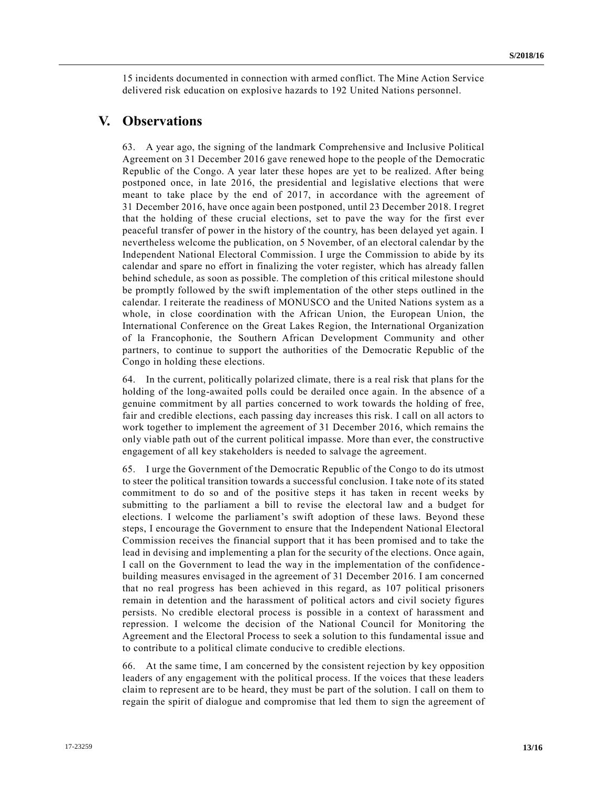15 incidents documented in connection with armed conflict. The Mine Action Service delivered risk education on explosive hazards to 192 United Nations personnel.

## **V. Observations**

63. A year ago, the signing of the landmark Comprehensive and Inclusive Political Agreement on 31 December 2016 gave renewed hope to the people of the Democratic Republic of the Congo. A year later these hopes are yet to be realized. After being postponed once, in late 2016, the presidential and legislative elections that were meant to take place by the end of 2017, in accordance with the agreement of 31 December 2016, have once again been postponed, until 23 December 2018. I regret that the holding of these crucial elections, set to pave the way for the first ever peaceful transfer of power in the history of the country, has been delayed yet again. I nevertheless welcome the publication, on 5 November, of an electoral calendar by the Independent National Electoral Commission. I urge the Commission to abide by its calendar and spare no effort in finalizing the voter register, which has already fallen behind schedule, as soon as possible. The completion of this critical milestone should be promptly followed by the swift implementation of the other steps outlined in the calendar. I reiterate the readiness of MONUSCO and the United Nations system as a whole, in close coordination with the African Union, the European Union, the International Conference on the Great Lakes Region, the International Organization of la Francophonie, the Southern African Development Community and other partners, to continue to support the authorities of the Democratic Republic of the Congo in holding these elections.

64. In the current, politically polarized climate, there is a real risk that plans for the holding of the long-awaited polls could be derailed once again. In the absence of a genuine commitment by all parties concerned to work towards the holding of free, fair and credible elections, each passing day increases this risk. I call on all actors to work together to implement the agreement of 31 December 2016, which remains the only viable path out of the current political impasse. More than ever, the constructive engagement of all key stakeholders is needed to salvage the agreement.

65. I urge the Government of the Democratic Republic of the Congo to do its utmost to steer the political transition towards a successful conclusion. I take note of its stated commitment to do so and of the positive steps it has taken in recent weeks by submitting to the parliament a bill to revise the electoral law and a budget for elections. I welcome the parliament's swift adoption of these laws. Beyond these steps, I encourage the Government to ensure that the Independent National Electoral Commission receives the financial support that it has been promised and to take the lead in devising and implementing a plan for the security of the elections. Once again, I call on the Government to lead the way in the implementation of the confidence building measures envisaged in the agreement of 31 December 2016. I am concerned that no real progress has been achieved in this regard, as 107 political prisoners remain in detention and the harassment of political actors and civil society figures persists. No credible electoral process is possible in a context of harassment and repression. I welcome the decision of the National Council for Monitoring the Agreement and the Electoral Process to seek a solution to this fundamental issue and to contribute to a political climate conducive to credible elections.

66. At the same time, I am concerned by the consistent rejection by key opposition leaders of any engagement with the political process. If the voices that these leaders claim to represent are to be heard, they must be part of the solution. I call on them to regain the spirit of dialogue and compromise that led them to sign the agreement of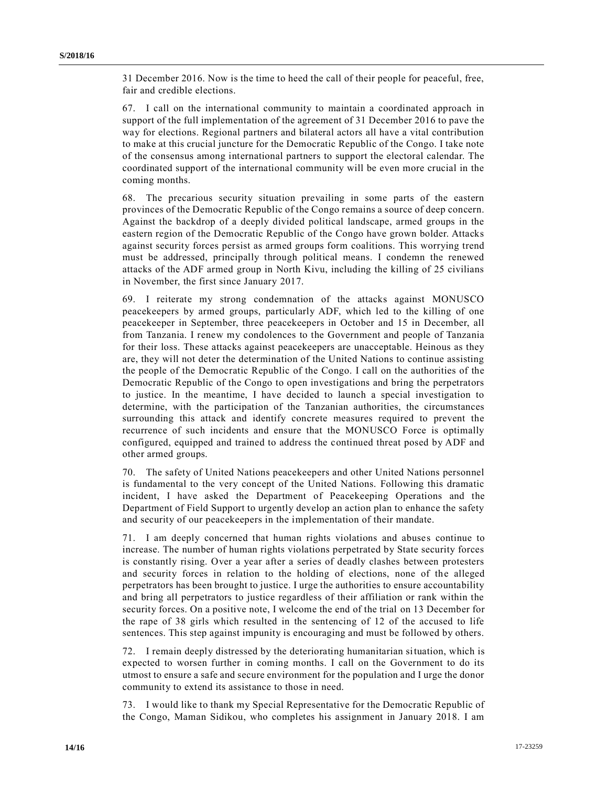31 December 2016. Now is the time to heed the call of their people for peaceful, free, fair and credible elections.

67. I call on the international community to maintain a coordinated approach in support of the full implementation of the agreement of 31 December 2016 to pave the way for elections. Regional partners and bilateral actors all have a vital contribution to make at this crucial juncture for the Democratic Republic of the Congo. I take note of the consensus among international partners to support the electoral calendar. The coordinated support of the international community will be even more crucial in the coming months.

68. The precarious security situation prevailing in some parts of the eastern provinces of the Democratic Republic of the Congo remains a source of deep concern. Against the backdrop of a deeply divided political landscape, armed groups in the eastern region of the Democratic Republic of the Congo have grown bolder. Attacks against security forces persist as armed groups form coalitions. This worrying trend must be addressed, principally through political means. I condemn the renewed attacks of the ADF armed group in North Kivu, including the killing of 25 civilians in November, the first since January 2017.

69. I reiterate my strong condemnation of the attacks against MONUSCO peacekeepers by armed groups, particularly ADF, which led to the killing of one peacekeeper in September, three peacekeepers in October and 15 in December, all from Tanzania. I renew my condolences to the Government and people of Tanzania for their loss. These attacks against peacekeepers are unacceptable. Heinous as they are, they will not deter the determination of the United Nations to continue assisting the people of the Democratic Republic of the Congo. I call on the authorities of the Democratic Republic of the Congo to open investigations and bring the perpetrators to justice. In the meantime, I have decided to launch a special investigation to determine, with the participation of the Tanzanian authorities, the circumstances surrounding this attack and identify concrete measures required to prevent the recurrence of such incidents and ensure that the MONUSCO Force is optimally configured, equipped and trained to address the continued threat posed by ADF and other armed groups.

70. The safety of United Nations peacekeepers and other United Nations personnel is fundamental to the very concept of the United Nations. Following this dramatic incident, I have asked the Department of Peacekeeping Operations and the Department of Field Support to urgently develop an action plan to enhance the safety and security of our peacekeepers in the implementation of their mandate.

71. I am deeply concerned that human rights violations and abuses continue to increase. The number of human rights violations perpetrated by State security forces is constantly rising. Over a year after a series of deadly clashes between protesters and security forces in relation to the holding of elections, none of the alleged perpetrators has been brought to justice. I urge the authorities to ensure accountability and bring all perpetrators to justice regardless of their affiliation or rank within the security forces. On a positive note, I welcome the end of the trial on 13 December for the rape of 38 girls which resulted in the sentencing of 12 of the accused to life sentences. This step against impunity is encouraging and must be followed by others.

72. I remain deeply distressed by the deteriorating humanitarian situation, which is expected to worsen further in coming months. I call on the Government to do its utmost to ensure a safe and secure environment for the population and I urge the donor community to extend its assistance to those in need.

73. I would like to thank my Special Representative for the Democratic Republic of the Congo, Maman Sidikou, who completes his assignment in January 2018. I am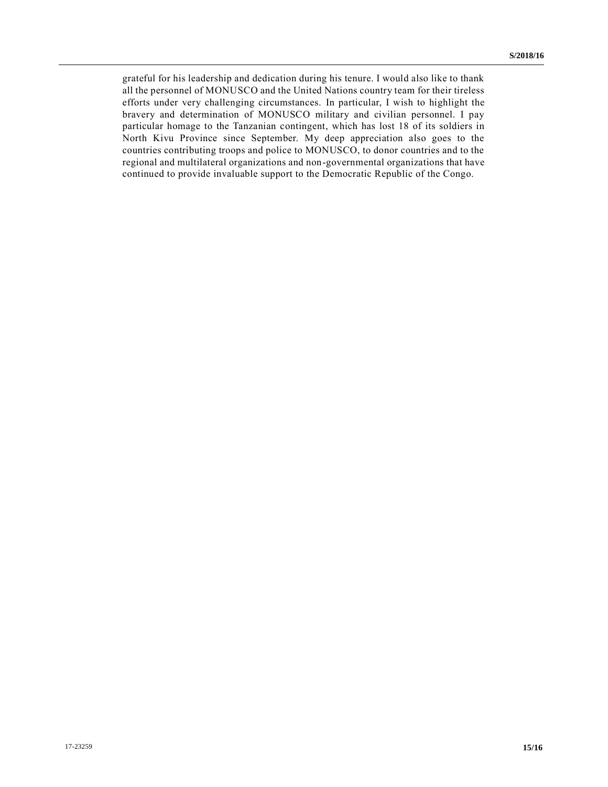grateful for his leadership and dedication during his tenure. I would also like to thank all the personnel of MONUSCO and the United Nations country team for their tireless efforts under very challenging circumstances. In particular, I wish to highlight the bravery and determination of MONUSCO military and civilian personnel. I pay particular homage to the Tanzanian contingent, which has lost 18 of its soldiers in North Kivu Province since September. My deep appreciation also goes to the countries contributing troops and police to MONUSCO, to donor countries and to the regional and multilateral organizations and non-governmental organizations that have continued to provide invaluable support to the Democratic Republic of the Congo.